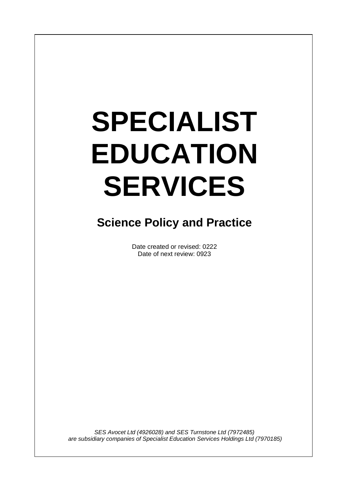# **SPECIALIST EDUCATION SERVICES**

I

# **Science Policy and Practice**

Date created or revised: 0222 Date of next review: 0923

*SES Avocet Ltd (4926028) and SES Turnstone Ltd (7972485) are subsidiary companies of Specialist Education Services Holdings Ltd (7970185)*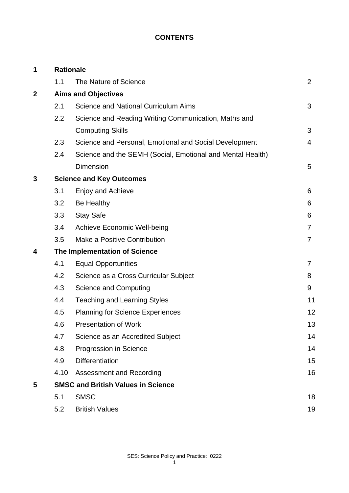# **CONTENTS**

| 1            | <b>Rationale</b>                          |                                                            |                |
|--------------|-------------------------------------------|------------------------------------------------------------|----------------|
|              | 1.1                                       | The Nature of Science                                      | $\overline{2}$ |
| $\mathbf{2}$ | <b>Aims and Objectives</b>                |                                                            |                |
|              | 2.1                                       | <b>Science and National Curriculum Aims</b>                | 3              |
|              | 2.2                                       | Science and Reading Writing Communication, Maths and       |                |
|              |                                           | <b>Computing Skills</b>                                    | 3              |
|              | 2.3                                       | Science and Personal, Emotional and Social Development     | $\overline{4}$ |
|              | 2.4                                       | Science and the SEMH (Social, Emotional and Mental Health) |                |
|              |                                           | <b>Dimension</b>                                           | 5              |
| 3            | <b>Science and Key Outcomes</b>           |                                                            |                |
|              | 3.1                                       | Enjoy and Achieve                                          | 6              |
|              | 3.2                                       | Be Healthy                                                 | 6              |
|              | 3.3                                       | <b>Stay Safe</b>                                           | 6              |
|              | 3.4                                       | <b>Achieve Economic Well-being</b>                         | $\overline{7}$ |
|              | 3.5                                       | Make a Positive Contribution                               | $\overline{7}$ |
| 4            | The Implementation of Science             |                                                            |                |
|              | 4.1                                       | <b>Equal Opportunities</b>                                 | 7              |
|              | 4.2                                       | Science as a Cross Curricular Subject                      | 8              |
|              | 4.3                                       | <b>Science and Computing</b>                               | 9              |
|              | 4.4                                       | <b>Teaching and Learning Styles</b>                        | 11             |
|              | 4.5                                       | <b>Planning for Science Experiences</b>                    | 12             |
|              | 4.6                                       | <b>Presentation of Work</b>                                | 13             |
|              | 4.7                                       | Science as an Accredited Subject                           | 14             |
|              | 4.8                                       | Progression in Science                                     | 14             |
|              | 4.9                                       | <b>Differentiation</b>                                     | 15             |
|              | 4.10                                      | <b>Assessment and Recording</b>                            | 16             |
| 5            | <b>SMSC and British Values in Science</b> |                                                            |                |
|              | 5.1                                       | <b>SMSC</b>                                                | 18             |
|              | 5.2                                       | <b>British Values</b>                                      | 19             |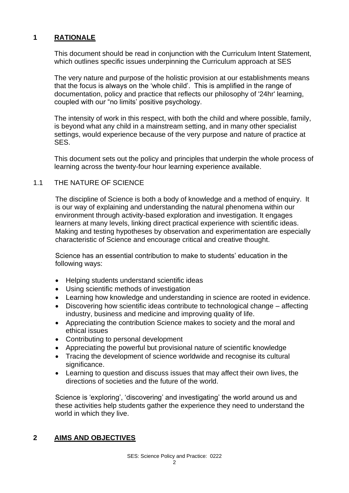#### **1 RATIONALE**

This document should be read in conjunction with the Curriculum Intent Statement, which outlines specific issues underpinning the Curriculum approach at SES

The very nature and purpose of the holistic provision at our establishments means that the focus is always on the 'whole child'. This is amplified in the range of documentation, policy and practice that reflects our philosophy of '24hr' learning, coupled with our "no limits' positive psychology.

The intensity of work in this respect, with both the child and where possible, family, is beyond what any child in a mainstream setting, and in many other specialist settings, would experience because of the very purpose and nature of practice at SES.

This document sets out the policy and principles that underpin the whole process of learning across the twenty-four hour learning experience available.

#### 1.1 THE NATURE OF SCIENCE

The discipline of Science is both a body of knowledge and a method of enquiry. It is our way of explaining and understanding the natural phenomena within our environment through activity-based exploration and investigation. It engages learners at many levels, linking direct practical experience with scientific ideas. Making and testing hypotheses by observation and experimentation are especially characteristic of Science and encourage critical and creative thought.

Science has an essential contribution to make to students' education in the following ways:

- Helping students understand scientific ideas
- Using scientific methods of investigation
- Learning how knowledge and understanding in science are rooted in evidence.
- Discovering how scientific ideas contribute to technological change affecting industry, business and medicine and improving quality of life.
- Appreciating the contribution Science makes to society and the moral and ethical issues
- Contributing to personal development
- Appreciating the powerful but provisional nature of scientific knowledge
- Tracing the development of science worldwide and recognise its cultural significance.
- Learning to question and discuss issues that may affect their own lives, the directions of societies and the future of the world.

Science is 'exploring', 'discovering' and investigating' the world around us and these activities help students gather the experience they need to understand the world in which they live.

#### **2 AIMS AND OBJECTIVES**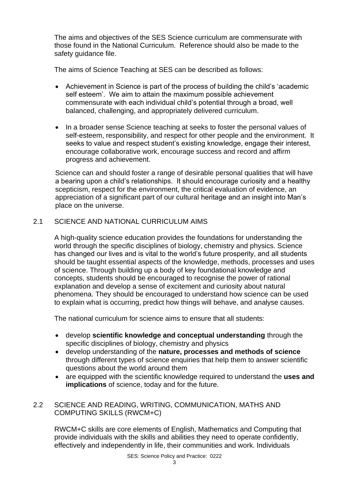The aims and objectives of the SES Science curriculum are commensurate with those found in the National Curriculum. Reference should also be made to the safety guidance file.

The aims of Science Teaching at SES can be described as follows:

- Achievement in Science is part of the process of building the child's 'academic self esteem'. We aim to attain the maximum possible achievement commensurate with each individual child's potential through a broad, well balanced, challenging, and appropriately delivered curriculum.
- In a broader sense Science teaching at seeks to foster the personal values of self-esteem, responsibility, and respect for other people and the environment. It seeks to value and respect student's existing knowledge, engage their interest, encourage collaborative work, encourage success and record and affirm progress and achievement.

Science can and should foster a range of desirable personal qualities that will have a bearing upon a child's relationships. It should encourage curiosity and a healthy scepticism, respect for the environment, the critical evaluation of evidence, an appreciation of a significant part of our cultural heritage and an insight into Man's place on the universe.

# 2.1 SCIENCE AND NATIONAL CURRICULUM AIMS

A high-quality science education provides the foundations for understanding the world through the specific disciplines of biology, chemistry and physics. Science has changed our lives and is vital to the world's future prosperity, and all students should be taught essential aspects of the knowledge, methods, processes and uses of science. Through building up a body of key foundational knowledge and concepts, students should be encouraged to recognise the power of rational explanation and develop a sense of excitement and curiosity about natural phenomena. They should be encouraged to understand how science can be used to explain what is occurring, predict how things will behave, and analyse causes.

The national curriculum for science aims to ensure that all students:

- develop **scientific knowledge and conceptual understanding** through the specific disciplines of biology, chemistry and physics
- develop understanding of the **nature, processes and methods of science** through different types of science enquiries that help them to answer scientific questions about the world around them
- are equipped with the scientific knowledge required to understand the **uses and implications** of science, today and for the future.

# 2.2 SCIENCE AND READING, WRITING, COMMUNICATION, MATHS AND COMPUTING SKILLS (RWCM+C)

RWCM+C skills are core elements of English, Mathematics and Computing that provide individuals with the skills and abilities they need to operate confidently, effectively and independently in life, their communities and work. Individuals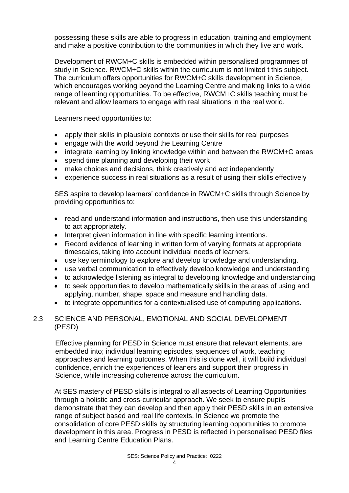possessing these skills are able to progress in education, training and employment and make a positive contribution to the communities in which they live and work.

Development of RWCM+C skills is embedded within personalised programmes of study in Science. RWCM+C skills within the curriculum is not limited t this subject. The curriculum offers opportunities for RWCM+C skills development in Science, which encourages working beyond the Learning Centre and making links to a wide range of learning opportunities. To be effective, RWCM+C skills teaching must be relevant and allow learners to engage with real situations in the real world.

Learners need opportunities to:

- apply their skills in plausible contexts or use their skills for real purposes
- engage with the world beyond the Learning Centre
- integrate learning by linking knowledge within and between the RWCM+C areas
- spend time planning and developing their work
- make choices and decisions, think creatively and act independently
- experience success in real situations as a result of using their skills effectively

SES aspire to develop learners' confidence in RWCM+C skills through Science by providing opportunities to:

- read and understand information and instructions, then use this understanding to act appropriately.
- Interpret given information in line with specific learning intentions.
- Record evidence of learning in written form of varying formats at appropriate timescales, taking into account individual needs of learners.
- use key terminology to explore and develop knowledge and understanding.
- use verbal communication to effectively develop knowledge and understanding
- to acknowledge listening as integral to developing knowledge and understanding
- to seek opportunities to develop mathematically skills in the areas of using and applying, number, shape, space and measure and handling data.
- to integrate opportunities for a contextualised use of computing applications.

#### 2.3 SCIENCE AND PERSONAL, EMOTIONAL AND SOCIAL DEVELOPMENT (PESD)

Effective planning for PESD in Science must ensure that relevant elements, are embedded into; individual learning episodes, sequences of work, teaching approaches and learning outcomes. When this is done well, it will build individual confidence, enrich the experiences of leaners and support their progress in Science, while increasing coherence across the curriculum.

At SES mastery of PESD skills is integral to all aspects of Learning Opportunities through a holistic and cross-curricular approach. We seek to ensure pupils demonstrate that they can develop and then apply their PESD skills in an extensive range of subject based and real life contexts. In Science we promote the consolidation of core PESD skills by structuring learning opportunities to promote development in this area. Progress in PESD is reflected in personalised PESD files and Learning Centre Education Plans.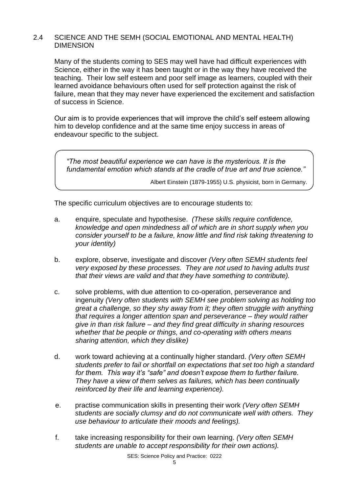#### 2.4 SCIENCE AND THE SEMH (SOCIAL EMOTIONAL AND MENTAL HEALTH) DIMENSION

Many of the students coming to SES may well have had difficult experiences with Science, either in the way it has been taught or in the way they have received the teaching. Their low self esteem and poor self image as learners, coupled with their learned avoidance behaviours often used for self protection against the risk of failure, mean that they may never have experienced the excitement and satisfaction of success in Science.

Our aim is to provide experiences that will improve the child's self esteem allowing him to develop confidence and at the same time enjoy success in areas of endeavour specific to the subject.

*"The most beautiful experience we can have is the mysterious. It is the fundamental emotion which stands at the cradle of true art and true science."*

Albert Einstein (1879-1955) U.S. physicist, born in Germany.

The specific curriculum objectives are to encourage students to:

- a. enquire, speculate and hypothesise. *(These skills require confidence, knowledge and open mindedness all of which are in short supply when you consider yourself to be a failure, know little and find risk taking threatening to your identity)*
- b. explore, observe, investigate and discover *(Very often SEMH students feel very exposed by these processes. They are not used to having adults trust that their views are valid and that they have something to contribute).*
- c. solve problems, with due attention to co-operation, perseverance and ingenuity *(Very often students with SEMH see problem solving as holding too great a challenge, so they shy away from it; they often struggle with anything that requires a longer attention span and perseverance – they would rather give in than risk failure – and they find great difficulty in sharing resources whether that be people or things, and co-operating with others means sharing attention, which they dislike)*
- d. work toward achieving at a continually higher standard. *(Very often SEMH students prefer to fail or shortfall on expectations that set too high a standard for them. This way it's "safe" and doesn't expose them to further failure. They have a view of them selves as failures, which has been continually reinforced by their life and learning experience).*
- e. practise communication skills in presenting their work *(Very often SEMH students are socially clumsy and do not communicate well with others. They use behaviour to articulate their moods and feelings).*
- f. take increasing responsibility for their own learning. *(Very often SEMH students are unable to accept responsibility for their own actions).*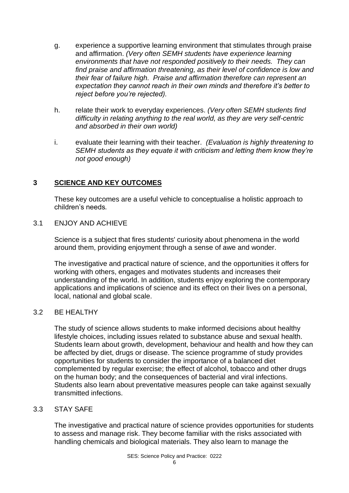- g. experience a supportive learning environment that stimulates through praise and affirmation. *(Very often SEMH students have experience learning environments that have not responded positively to their needs. They can find praise and affirmation threatening, as their level of confidence is low and their fear of failure high. Praise and affirmation therefore can represent an expectation they cannot reach in their own minds and therefore it's better to reject before you're rejected).*
- h. relate their work to everyday experiences. *(Very often SEMH students find difficulty in relating anything to the real world, as they are very self-centric and absorbed in their own world)*
- i. evaluate their learning with their teacher. *(Evaluation is highly threatening to SEMH students as they equate it with criticism and letting them know they're not good enough)*

# **3 SCIENCE AND KEY OUTCOMES**

These key outcomes are a useful vehicle to conceptualise a holistic approach to children's needs*.*

#### 3.1 ENJOY AND ACHIEVE

Science is a subject that fires students' curiosity about phenomena in the world around them, providing enjoyment through a sense of awe and wonder.

The investigative and practical nature of science, and the opportunities it offers for working with others, engages and motivates students and increases their understanding of the world. In addition, students enjoy exploring the contemporary applications and implications of science and its effect on their lives on a personal, local, national and global scale.

# 3.2 BE HEALTHY

The study of science allows students to make informed decisions about healthy lifestyle choices, including issues related to substance abuse and sexual health. Students learn about growth, development, behaviour and health and how they can be affected by diet, drugs or disease. The science programme of study provides opportunities for students to consider the importance of a balanced diet complemented by regular exercise; the effect of alcohol, tobacco and other drugs on the human body; and the consequences of bacterial and viral infections. Students also learn about preventative measures people can take against sexually transmitted infections.

#### 3.3 STAY SAFE

The investigative and practical nature of science provides opportunities for students to assess and manage risk. They become familiar with the risks associated with handling chemicals and biological materials. They also learn to manage the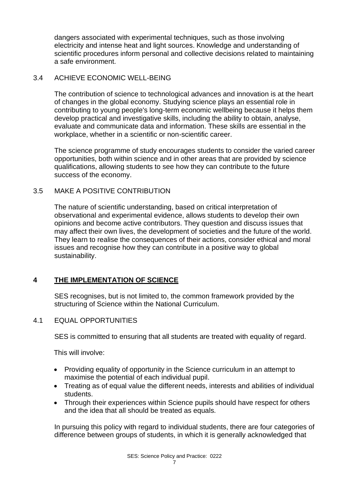dangers associated with experimental techniques, such as those involving electricity and intense heat and light sources. Knowledge and understanding of scientific procedures inform personal and collective decisions related to maintaining a safe environment.

#### 3.4 ACHIEVE ECONOMIC WELL-BEING

The contribution of science to technological advances and innovation is at the heart of changes in the global economy. Studying science plays an essential role in contributing to young people's long-term economic wellbeing because it helps them develop practical and investigative skills, including the ability to obtain, analyse, evaluate and communicate data and information. These skills are essential in the workplace, whether in a scientific or non-scientific career.

The science programme of study encourages students to consider the varied career opportunities, both within science and in other areas that are provided by science qualifications, allowing students to see how they can contribute to the future success of the economy.

#### 3.5 MAKE A POSITIVE CONTRIBUTION

The nature of scientific understanding, based on critical interpretation of observational and experimental evidence, allows students to develop their own opinions and become active contributors. They question and discuss issues that may affect their own lives, the development of societies and the future of the world. They learn to realise the consequences of their actions, consider ethical and moral issues and recognise how they can contribute in a positive way to global sustainability.

# **4 THE IMPLEMENTATION OF SCIENCE**

SES recognises, but is not limited to, the common framework provided by the structuring of Science within the National Curriculum.

#### 4.1 EQUAL OPPORTUNITIES

SES is committed to ensuring that all students are treated with equality of regard.

This will involve:

- Providing equality of opportunity in the Science curriculum in an attempt to maximise the potential of each individual pupil.
- Treating as of equal value the different needs, interests and abilities of individual students.
- Through their experiences within Science pupils should have respect for others and the idea that all should be treated as equals.

In pursuing this policy with regard to individual students, there are four categories of difference between groups of students, in which it is generally acknowledged that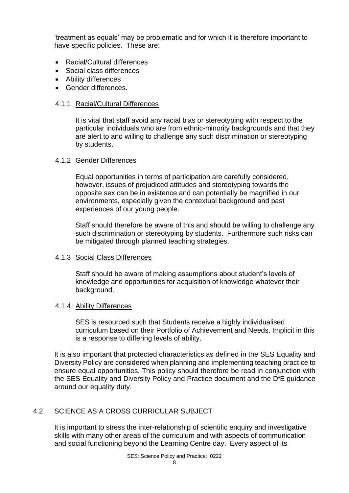'treatment as equals' may be problematic and for which it is therefore important to have specific policies. These are:

- Racial/Cultural differences
- Social class differences
- Ability differences
- Gender differences.

#### 4.1.1 Racial/Cultural Differences

It is vital that staff avoid any racial bias or stereotyping with respect to the particular individuals who are from ethnic-minority backgrounds and that they are alert to and willing to challenge any such discrimination or stereotyping by students.

#### 4.1.2 Gender Differences

Equal opportunities in terms of participation are carefully considered, however, issues of prejudiced attitudes and stereotyping towards the opposite sex can be in existence and can potentially be magnified in our environments, especially given the contextual background and past experiences of our young people.

Staff should therefore be aware of this and should be willing to challenge any such discrimination or stereotyping by students. Furthermore such risks can be mitigated through planned teaching strategies.

# 4.1.3 Social Class Differences

Staff should be aware of making assumptions about student's levels of knowledge and opportunities for acquisition of knowledge whatever their background.

#### 4.1.4 Ability Differences

SES is resourced such that Students receive a highly individualised curriculum based on their Portfolio of Achievement and Needs. Implicit in this is a response to differing levels of ability.

It is also important that protected characteristics as defined in the SES Equality and Diversity Policy are considered when planning and implementing teaching practice to ensure equal opportunities. This policy should therefore be read in conjunction with the SES Equality and Diversity Policy and Practice document and the DfE guidance around our equality duty.

# 4.2 SCIENCE AS A CROSS CURRICULAR SUBJECT

It is important to stress the inter-relationship of scientific enquiry and investigative skills with many other areas of the curriculum and with aspects of communication and social functioning beyond the Learning Centre day. Every aspect of its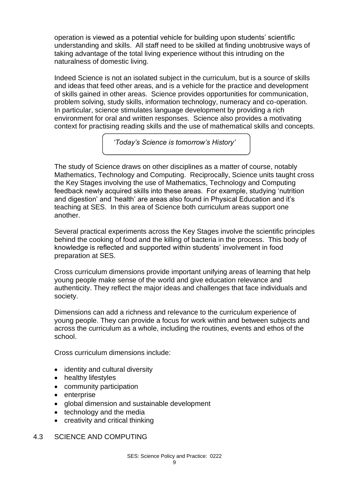operation is viewed as a potential vehicle for building upon students' scientific understanding and skills. All staff need to be skilled at finding unobtrusive ways of taking advantage of the total living experience without this intruding on the naturalness of domestic living.

Indeed Science is not an isolated subject in the curriculum, but is a source of skills and ideas that feed other areas, and is a vehicle for the practice and development of skills gained in other areas. Science provides opportunities for communication, problem solving, study skills, information technology, numeracy and co-operation. In particular, science stimulates language development by providing a rich environment for oral and written responses. Science also provides a motivating context for practising reading skills and the use of mathematical skills and concepts.

*'Today's Science is tomorrow's History'*

The study of Science draws on other disciplines as a matter of course, notably Mathematics, Technology and Computing. Reciprocally, Science units taught cross the Key Stages involving the use of Mathematics, Technology and Computing feedback newly acquired skills into these areas. For example, studying 'nutrition and digestion' and 'health' are areas also found in Physical Education and it's teaching at SES. In this area of Science both curriculum areas support one another.

Several practical experiments across the Key Stages involve the scientific principles behind the cooking of food and the killing of bacteria in the process. This body of knowledge is reflected and supported within students' involvement in food preparation at SES.

Cross curriculum dimensions provide important unifying areas of learning that help young people make sense of the world and give education relevance and authenticity. They reflect the major ideas and challenges that face individuals and society.

Dimensions can add a richness and relevance to the curriculum experience of young people. They can provide a focus for work within and between subjects and across the curriculum as a whole, including the routines, events and ethos of the school.

Cross curriculum dimensions include:

- identity and cultural diversity
- healthy lifestyles
- community participation
- enterprise
- global dimension and sustainable development
- technology and the media
- creativity and critical thinking
- 4.3 SCIENCE AND COMPUTING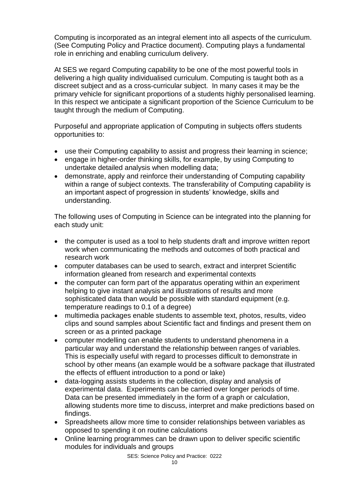Computing is incorporated as an integral element into all aspects of the curriculum. (See Computing Policy and Practice document). Computing plays a fundamental role in enriching and enabling curriculum delivery.

At SES we regard Computing capability to be one of the most powerful tools in delivering a high quality individualised curriculum. Computing is taught both as a discreet subject and as a cross-curricular subject. In many cases it may be the primary vehicle for significant proportions of a students highly personalised learning. In this respect we anticipate a significant proportion of the Science Curriculum to be taught through the medium of Computing.

Purposeful and appropriate application of Computing in subjects offers students opportunities to:

- use their Computing capability to assist and progress their learning in science;
- engage in higher-order thinking skills, for example, by using Computing to undertake detailed analysis when modelling data;
- demonstrate, apply and reinforce their understanding of Computing capability within a range of subject contexts. The transferability of Computing capability is an important aspect of progression in students' knowledge, skills and understanding.

The following uses of Computing in Science can be integrated into the planning for each study unit:

- the computer is used as a tool to help students draft and improve written report work when communicating the methods and outcomes of both practical and research work
- computer databases can be used to search, extract and interpret Scientific information gleaned from research and experimental contexts
- the computer can form part of the apparatus operating within an experiment helping to give instant analysis and illustrations of results and more sophisticated data than would be possible with standard equipment (e.g. temperature readings to 0.1 of a degree)
- multimedia packages enable students to assemble text, photos, results, video clips and sound samples about Scientific fact and findings and present them on screen or as a printed package
- computer modelling can enable students to understand phenomena in a particular way and understand the relationship between ranges of variables. This is especially useful with regard to processes difficult to demonstrate in school by other means (an example would be a software package that illustrated the effects of effluent introduction to a pond or lake)
- data-logging assists students in the collection, display and analysis of experimental data. Experiments can be carried over longer periods of time. Data can be presented immediately in the form of a graph or calculation, allowing students more time to discuss, interpret and make predictions based on findings.
- Spreadsheets allow more time to consider relationships between variables as opposed to spending it on routine calculations
- Online learning programmes can be drawn upon to deliver specific scientific modules for individuals and groups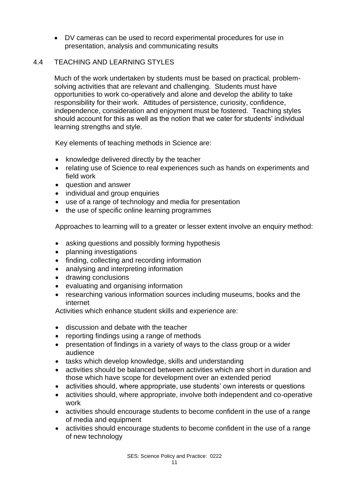• DV cameras can be used to record experimental procedures for use in presentation, analysis and communicating results

#### 4.4 TEACHING AND LEARNING STYLES

Much of the work undertaken by students must be based on practical, problemsolving activities that are relevant and challenging. Students must have opportunities to work co-operatively and alone and develop the ability to take responsibility for their work. Attitudes of persistence, curiosity, confidence, independence, consideration and enjoyment must be fostered. Teaching styles should account for this as well as the notion that we cater for students' individual learning strengths and style.

Key elements of teaching methods in Science are:

- knowledge delivered directly by the teacher
- relating use of Science to real experiences such as hands on experiments and field work
- question and answer
- individual and group enquiries
- use of a range of technology and media for presentation
- the use of specific online learning programmes

Approaches to learning will to a greater or lesser extent involve an enquiry method:

- asking questions and possibly forming hypothesis
- planning investigations
- finding, collecting and recording information
- analysing and interpreting information
- drawing conclusions
- evaluating and organising information
- researching various information sources including museums, books and the internet

Activities which enhance student skills and experience are:

- discussion and debate with the teacher
- reporting findings using a range of methods
- presentation of findings in a variety of ways to the class group or a wider audience
- tasks which develop knowledge, skills and understanding
- activities should be balanced between activities which are short in duration and those which have scope for development over an extended period
- activities should, where appropriate, use students' own interests or questions
- activities should, where appropriate, involve both independent and co-operative work
- activities should encourage students to become confident in the use of a range of media and equipment
- activities should encourage students to become confident in the use of a range of new technology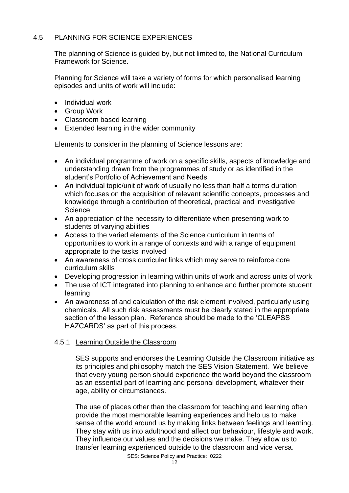# 4.5 PLANNING FOR SCIENCE EXPERIENCES

The planning of Science is guided by, but not limited to, the National Curriculum Framework for Science.

Planning for Science will take a variety of forms for which personalised learning episodes and units of work will include:

- Individual work
- Group Work
- Classroom based learning
- Extended learning in the wider community

Elements to consider in the planning of Science lessons are:

- An individual programme of work on a specific skills, aspects of knowledge and understanding drawn from the programmes of study or as identified in the student's Portfolio of Achievement and Needs
- An individual topic/unit of work of usually no less than half a terms duration which focuses on the acquisition of relevant scientific concepts, processes and knowledge through a contribution of theoretical, practical and investigative **Science**
- An appreciation of the necessity to differentiate when presenting work to students of varying abilities
- Access to the varied elements of the Science curriculum in terms of opportunities to work in a range of contexts and with a range of equipment appropriate to the tasks involved
- An awareness of cross curricular links which may serve to reinforce core curriculum skills
- Developing progression in learning within units of work and across units of work
- The use of ICT integrated into planning to enhance and further promote student learning
- An awareness of and calculation of the risk element involved, particularly using chemicals. All such risk assessments must be clearly stated in the appropriate section of the lesson plan. Reference should be made to the 'CLEAPSS HAZCARDS' as part of this process.

# 4.5.1 Learning Outside the Classroom

SES supports and endorses the Learning Outside the Classroom initiative as its principles and philosophy match the SES Vision Statement. We believe that every young person should experience the world beyond the classroom as an essential part of learning and personal development, whatever their age, ability or circumstances.

The use of places other than the classroom for teaching and learning often provide the most memorable learning experiences and help us to make sense of the world around us by making links between feelings and learning. They stay with us into adulthood and affect our behaviour, lifestyle and work. They influence our values and the decisions we make. They allow us to transfer learning experienced outside to the classroom and vice versa.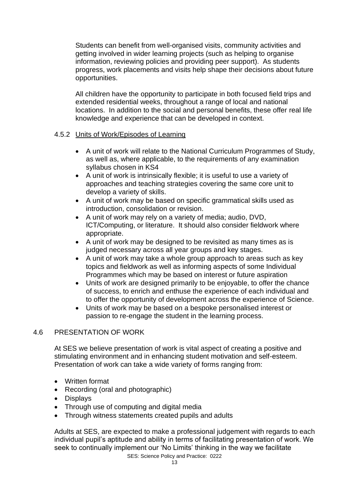Students can benefit from well-organised visits, community activities and getting involved in wider learning projects (such as helping to organise information, reviewing policies and providing peer support). As students progress, work placements and visits help shape their decisions about future opportunities.

All children have the opportunity to participate in both focused field trips and extended residential weeks, throughout a range of local and national locations. In addition to the social and personal benefits, these offer real life knowledge and experience that can be developed in context.

#### 4.5.2 Units of Work/Episodes of Learning

- A unit of work will relate to the National Curriculum Programmes of Study, as well as, where applicable, to the requirements of any examination syllabus chosen in KS4
- A unit of work is intrinsically flexible; it is useful to use a variety of approaches and teaching strategies covering the same core unit to develop a variety of skills.
- A unit of work may be based on specific grammatical skills used as introduction, consolidation or revision.
- A unit of work may rely on a variety of media; audio, DVD, ICT/Computing, or literature. It should also consider fieldwork where appropriate.
- A unit of work may be designed to be revisited as many times as is judged necessary across all year groups and key stages.
- A unit of work may take a whole group approach to areas such as key topics and fieldwork as well as informing aspects of some Individual Programmes which may be based on interest or future aspiration
- Units of work are designed primarily to be enjoyable, to offer the chance of success, to enrich and enthuse the experience of each individual and to offer the opportunity of development across the experience of Science.
- Units of work may be based on a bespoke personalised interest or passion to re-engage the student in the learning process.

# 4.6 PRESENTATION OF WORK

At SES we believe presentation of work is vital aspect of creating a positive and stimulating environment and in enhancing student motivation and self-esteem. Presentation of work can take a wide variety of forms ranging from:

- Written format
- Recording (oral and photographic)
- Displays
- Through use of computing and digital media
- Through witness statements created pupils and adults

Adults at SES, are expected to make a professional judgement with regards to each individual pupil's aptitude and ability in terms of facilitating presentation of work. We seek to continually implement our 'No Limits' thinking in the way we facilitate

SES: Science Policy and Practice: 0222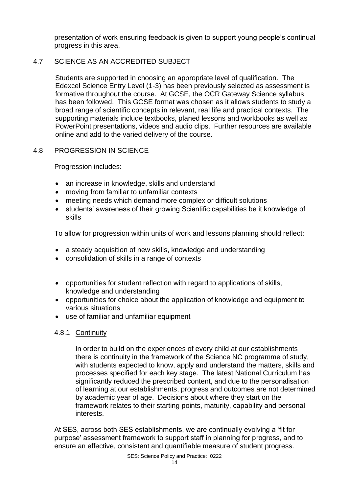presentation of work ensuring feedback is given to support young people's continual progress in this area.

# 4.7 SCIENCE AS AN ACCREDITED SUBJECT

Students are supported in choosing an appropriate level of qualification. The Edexcel Science Entry Level (1-3) has been previously selected as assessment is formative throughout the course. At GCSE, the OCR Gateway Science syllabus has been followed. This GCSE format was chosen as it allows students to study a broad range of scientific concepts in relevant, real life and practical contexts. The supporting materials include textbooks, planed lessons and workbooks as well as PowerPoint presentations, videos and audio clips. Further resources are available online and add to the varied delivery of the course.

# 4.8 PROGRESSION IN SCIENCE

Progression includes:

- an increase in knowledge, skills and understand
- moving from familiar to unfamiliar contexts
- meeting needs which demand more complex or difficult solutions
- students' awareness of their growing Scientific capabilities be it knowledge of skills

To allow for progression within units of work and lessons planning should reflect:

- a steady acquisition of new skills, knowledge and understanding
- consolidation of skills in a range of contexts
- opportunities for student reflection with regard to applications of skills, knowledge and understanding
- opportunities for choice about the application of knowledge and equipment to various situations
- use of familiar and unfamiliar equipment

# 4.8.1 Continuity

In order to build on the experiences of every child at our establishments there is continuity in the framework of the Science NC programme of study, with students expected to know, apply and understand the matters, skills and processes specified for each key stage. The latest National Curriculum has significantly reduced the prescribed content, and due to the personalisation of learning at our establishments, progress and outcomes are not determined by academic year of age. Decisions about where they start on the framework relates to their starting points, maturity, capability and personal interests.

At SES, across both SES establishments, we are continually evolving a 'fit for purpose' assessment framework to support staff in planning for progress, and to ensure an effective, consistent and quantifiable measure of student progress.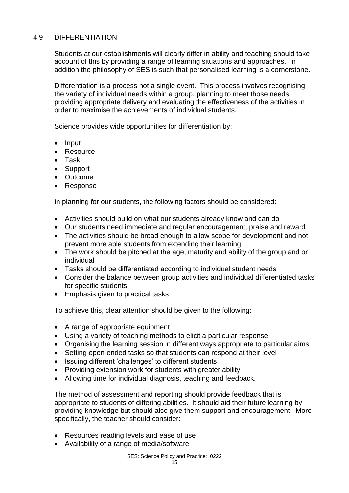# 4.9 DIFFERENTIATION

Students at our establishments will clearly differ in ability and teaching should take account of this by providing a range of learning situations and approaches. In addition the philosophy of SES is such that personalised learning is a cornerstone.

Differentiation is a process not a single event. This process involves recognising the variety of individual needs within a group, planning to meet those needs, providing appropriate delivery and evaluating the effectiveness of the activities in order to maximise the achievements of individual students.

Science provides wide opportunities for differentiation by:

- Input
- **Resource**
- Task
- Support
- Outcome
- Response

In planning for our students, the following factors should be considered:

- Activities should build on what our students already know and can do
- Our students need immediate and regular encouragement, praise and reward
- The activities should be broad enough to allow scope for development and not prevent more able students from extending their learning
- The work should be pitched at the age, maturity and ability of the group and or individual
- Tasks should be differentiated according to individual student needs
- Consider the balance between group activities and individual differentiated tasks for specific students
- Emphasis given to practical tasks

To achieve this, clear attention should be given to the following:

- A range of appropriate equipment
- Using a variety of teaching methods to elicit a particular response
- Organising the learning session in different ways appropriate to particular aims
- Setting open-ended tasks so that students can respond at their level
- Issuing different 'challenges' to different students
- Providing extension work for students with greater ability
- Allowing time for individual diagnosis, teaching and feedback.

The method of assessment and reporting should provide feedback that is appropriate to students of differing abilities. It should aid their future learning by providing knowledge but should also give them support and encouragement. More specifically, the teacher should consider:

- Resources reading levels and ease of use
- Availability of a range of media/software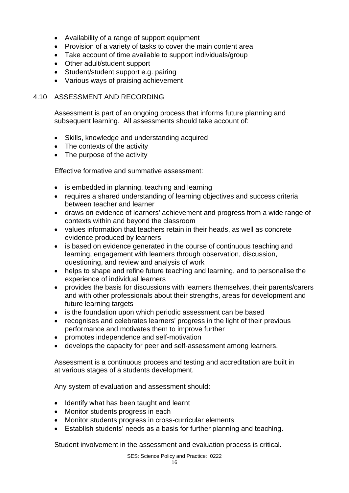- Availability of a range of support equipment
- Provision of a variety of tasks to cover the main content area
- Take account of time available to support individuals/group
- Other adult/student support
- Student/student support e.g. pairing
- Various ways of praising achievement

#### 4.10 ASSESSMENT AND RECORDING

Assessment is part of an ongoing process that informs future planning and subsequent learning. All assessments should take account of:

- Skills, knowledge and understanding acquired
- The contexts of the activity
- The purpose of the activity

Effective formative and summative assessment:

- is embedded in planning, teaching and learning
- requires a shared understanding of learning objectives and success criteria between teacher and learner
- draws on evidence of learners' achievement and progress from a wide range of contexts within and beyond the classroom
- values information that teachers retain in their heads, as well as concrete evidence produced by learners
- is based on evidence generated in the course of continuous teaching and learning, engagement with learners through observation, discussion, questioning, and review and analysis of work
- helps to shape and refine future teaching and learning, and to personalise the experience of individual learners
- provides the basis for discussions with learners themselves, their parents/carers and with other professionals about their strengths, areas for development and future learning targets
- is the foundation upon which periodic assessment can be based
- recognises and celebrates learners' progress in the light of their previous performance and motivates them to improve further
- promotes independence and self-motivation
- develops the capacity for peer and self-assessment among learners.

Assessment is a continuous process and testing and accreditation are built in at various stages of a students development.

Any system of evaluation and assessment should:

- Identify what has been taught and learnt
- Monitor students progress in each
- Monitor students progress in cross-curricular elements
- Establish students' needs as a basis for further planning and teaching.

Student involvement in the assessment and evaluation process is critical.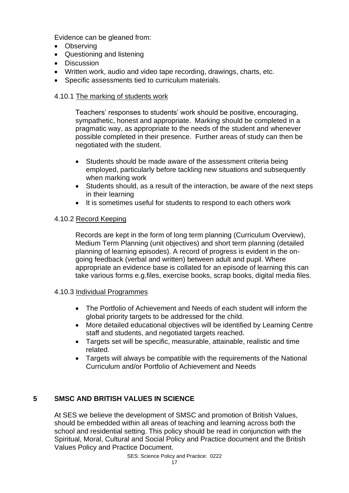Evidence can be gleaned from:

- Observing
- Questioning and listening
- Discussion
- Written work, audio and video tape recording, drawings, charts, etc.
- Specific assessments tied to curriculum materials.

# 4.10.1 The marking of students work

Teachers' responses to students' work should be positive, encouraging, sympathetic, honest and appropriate. Marking should be completed in a pragmatic way, as appropriate to the needs of the student and whenever possible completed in their presence. Further areas of study can then be negotiated with the student.

- Students should be made aware of the assessment criteria being employed, particularly before tackling new situations and subsequently when marking work
- Students should, as a result of the interaction, be aware of the next steps in their learning
- It is sometimes useful for students to respond to each others work

# 4.10.2 Record Keeping

Records are kept in the form of long term planning (Curriculum Overview), Medium Term Planning (unit objectives) and short term planning (detailed planning of learning episodes). A record of progress is evident in the ongoing feedback (verbal and written) between adult and pupil. Where appropriate an evidence base is collated for an episode of learning this can take various forms e.g.files, exercise books, scrap books, digital media files.

# 4.10.3 Individual Programmes

- The Portfolio of Achievement and Needs of each student will inform the global priority targets to be addressed for the child.
- More detailed educational objectives will be identified by Learning Centre staff and students, and negotiated targets reached.
- Targets set will be specific, measurable, attainable, realistic and time related.
- Targets will always be compatible with the requirements of the National Curriculum and/or Portfolio of Achievement and Needs

# **5 SMSC AND BRITISH VALUES IN SCIENCE**

At SES we believe the development of SMSC and promotion of British Values, should be embedded within all areas of teaching and learning across both the school and residential setting. This policy should be read in conjunction with the Spiritual, Moral, Cultural and Social Policy and Practice document and the British Values Policy and Practice Document.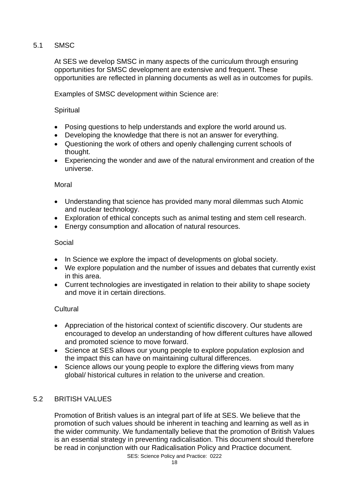# 5.1 SMSC

At SES we develop SMSC in many aspects of the curriculum through ensuring opportunities for SMSC development are extensive and frequent. These opportunities are reflected in planning documents as well as in outcomes for pupils.

Examples of SMSC development within Science are:

#### **Spiritual**

- Posing questions to help understands and explore the world around us.
- Developing the knowledge that there is not an answer for everything.
- Questioning the work of others and openly challenging current schools of thought.
- Experiencing the wonder and awe of the natural environment and creation of the universe.

#### Moral

- Understanding that science has provided many moral dilemmas such Atomic and nuclear technology.
- Exploration of ethical concepts such as animal testing and stem cell research.
- Energy consumption and allocation of natural resources.

#### Social

- In Science we explore the impact of developments on global society.
- We explore population and the number of issues and debates that currently exist in this area.
- Current technologies are investigated in relation to their ability to shape society and move it in certain directions.

# **Cultural**

- Appreciation of the historical context of scientific discovery. Our students are encouraged to develop an understanding of how different cultures have allowed and promoted science to move forward.
- Science at SES allows our young people to explore population explosion and the impact this can have on maintaining cultural differences.
- Science allows our young people to explore the differing views from many global/ historical cultures in relation to the universe and creation.

# 5.2 BRITISH VALUES

Promotion of British values is an integral part of life at SES. We believe that the promotion of such values should be inherent in teaching and learning as well as in the wider community. We fundamentally believe that the promotion of British Values is an essential strategy in preventing radicalisation. This document should therefore be read in conjunction with our Radicalisation Policy and Practice document.

SES: Science Policy and Practice: 0222